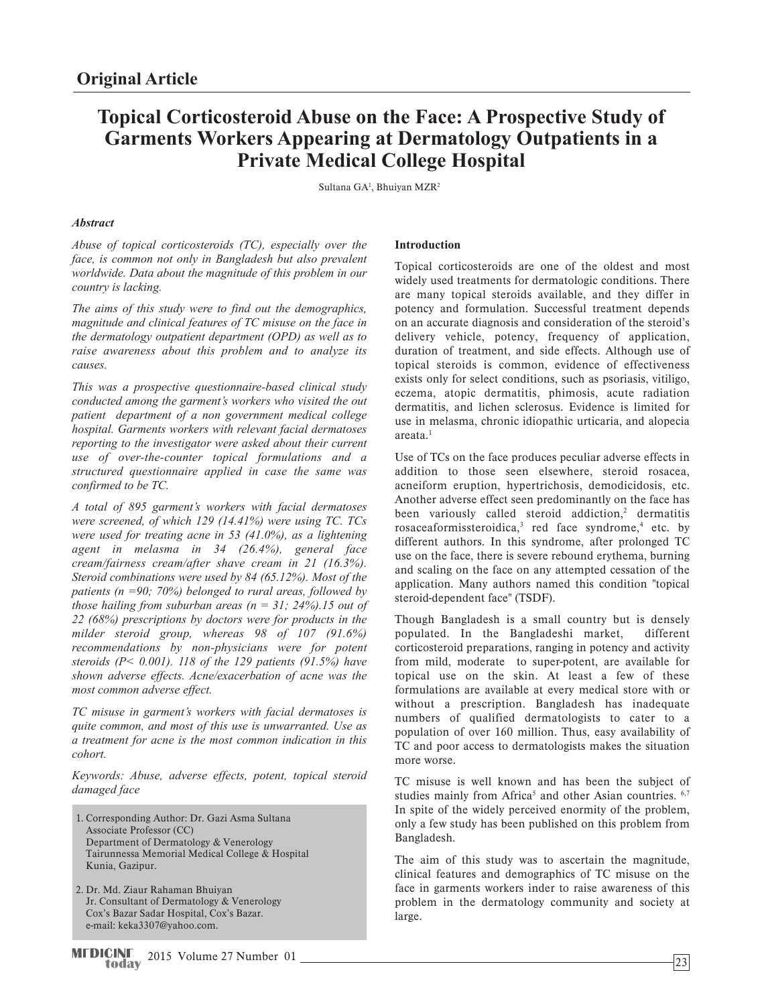# **Topical Corticosteroid Abuse on the Face: A Prospective Study of Garments Workers Appearing at Dermatology Outpatients in a Private Medical College Hospital**

Sultana GA<sup>1</sup>, Bhuiyan MZR<sup>2</sup>

# *Abstract*

*Abuse of topical corticosteroids (TC), especially over the face, is common not only in Bangladesh but also prevalent worldwide. Data about the magnitude of this problem in our country is lacking.* 

*The aims of this study were to find out the demographics, magnitude and clinical features of TC misuse on the face in the dermatology outpatient department (OPD) as well as to raise awareness about this problem and to analyze its causes.* 

*This was a prospective questionnaire-based clinical study conducted among the garment's workers who visited the out patient department of a non government medical college hospital. Garments workers with relevant facial dermatoses reporting to the investigator were asked about their current use of over-the-counter topical formulations and a structured questionnaire applied in case the same was confirmed to be TC.*

*A total of 895 garment's workers with facial dermatoses were screened, of which 129 (14.41%) were using TC. TCs were used for treating acne in 53 (41.0%), as a lightening agent in melasma in 34 (26.4%), general face cream/fairness cream/after shave cream in 21 (16.3%). Steroid combinations were used by 84 (65.12%). Most of the patients (n =90; 70%) belonged to rural areas, followed by those hailing from suburban areas (n = 31; 24%).15 out of 22 (68%) prescriptions by doctors were for products in the milder steroid group, whereas 98 of 107 (91.6%) recommendations by non-physicians were for potent steroids (P< 0.001). 118 of the 129 patients (91.5%) have shown adverse effects. Acne/exacerbation of acne was the most common adverse effect.* 

*TC misuse in garment's workers with facial dermatoses is quite common, and most of this use is unwarranted. Use as a treatment for acne is the most common indication in this cohort.* 

*Keywords: Abuse, adverse effects, potent, topical steroid damaged face*

- Corresponding Author: Dr. Gazi Asma Sultana 1. Associate Professor (CC) Department of Dermatology & Venerology Tairunnessa Memorial Medical College & Hospital Kunia, Gazipur.
- 2. Dr. Md. Ziaur Rahaman Bhuiyan Jr. Consultant of Dermatology & Venerology Cox's Bazar Sadar Hospital, Cox's Bazar. e-mail: keka3307@yahoo.com.

# **Introduction**

Topical corticosteroids are one of the oldest and most widely used treatments for dermatologic conditions. There are many topical steroids available, and they differ in potency and formulation. Successful treatment depends on an accurate diagnosis and consideration of the steroid's delivery vehicle, potency, frequency of application, duration of treatment, and side effects. Although use of topical steroids is common, evidence of effectiveness exists only for select conditions, such as psoriasis, vitiligo, eczema, atopic dermatitis, phimosis, acute radiation dermatitis, and lichen sclerosus. Evidence is limited for use in melasma, chronic idiopathic urticaria, and alopecia areata.1

Use of TCs on the face produces peculiar adverse effects in addition to those seen elsewhere, steroid rosacea, acneiform eruption, hypertrichosis, demodicidosis, etc. Another adverse effect seen predominantly on the face has been variously called steroid addiction,<sup>2</sup> dermatitis rosaceaformissteroidica,<sup>3</sup> red face syndrome,<sup>4</sup> etc. by different authors. In this syndrome, after prolonged TC use on the face, there is severe rebound erythema, burning and scaling on the face on any attempted cessation of the application. Many authors named this condition "topical steroid-dependent face" (TSDF).

Though Bangladesh is a small country but is densely populated. In the Bangladeshi market, different corticosteroid preparations, ranging in potency and activity from mild, moderate to super-potent, are available for topical use on the skin. At least a few of these formulations are available at every medical store with or without a prescription. Bangladesh has inadequate numbers of qualified dermatologists to cater to a population of over 160 million. Thus, easy availability of TC and poor access to dermatologists makes the situation more worse.

TC misuse is well known and has been the subject of studies mainly from Africa<sup>5</sup> and other Asian countries. <sup>6,7</sup> In spite of the widely perceived enormity of the problem, only a few study has been published on this problem from Bangladesh.

The aim of this study was to ascertain the magnitude, clinical features and demographics of TC misuse on the face in garments workers inder to raise awareness of this problem in the dermatology community and society at large.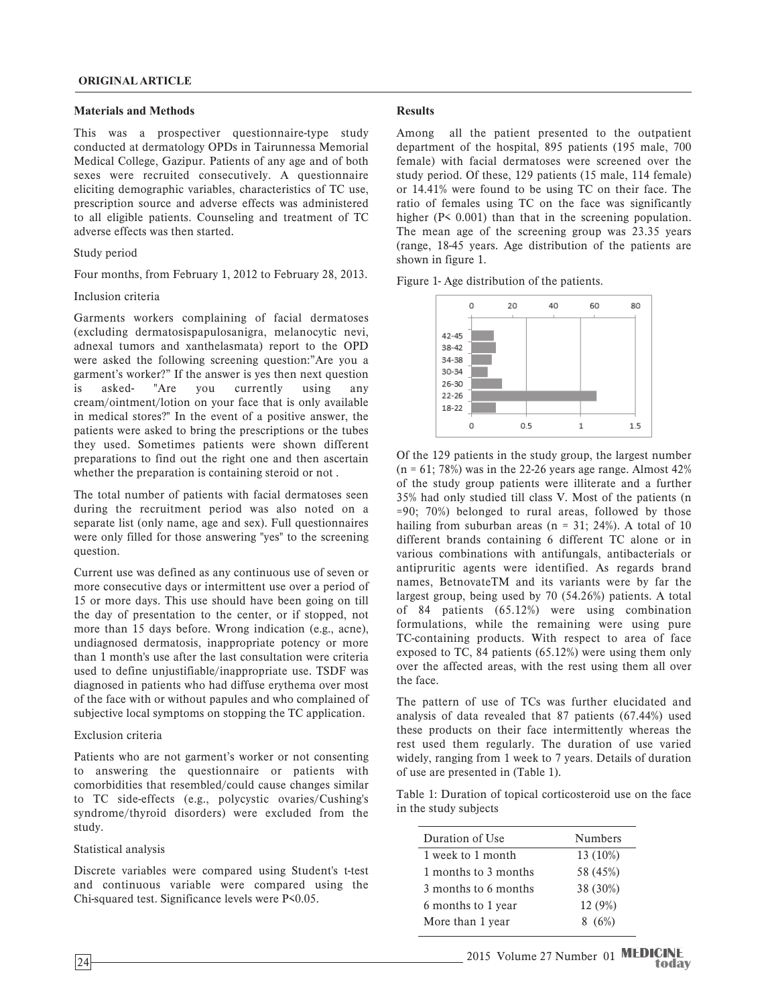## **Materials and Methods**

This was a prospectiver questionnaire-type study conducted at dermatology OPDs in Tairunnessa Memorial Medical College, Gazipur. Patients of any age and of both sexes were recruited consecutively. A questionnaire eliciting demographic variables, characteristics of TC use, prescription source and adverse effects was administered to all eligible patients. Counseling and treatment of TC adverse effects was then started.

#### Study period

Four months, from February 1, 2012 to February 28, 2013.

### Inclusion criteria

Garments workers complaining of facial dermatoses (excluding dermatosispapulosanigra, melanocytic nevi, adnexal tumors and xanthelasmata) report to the OPD were asked the following screening question:"Are you a garment's worker?" If the answer is yes then next question is asked- "Are you currently using any cream/ointment/lotion on your face that is only available in medical stores?" In the event of a positive answer, the patients were asked to bring the prescriptions or the tubes they used. Sometimes patients were shown different preparations to find out the right one and then ascertain whether the preparation is containing steroid or not .

The total number of patients with facial dermatoses seen during the recruitment period was also noted on a separate list (only name, age and sex). Full questionnaires were only filled for those answering "yes" to the screening question.

Current use was defined as any continuous use of seven or more consecutive days or intermittent use over a period of 15 or more days. This use should have been going on till the day of presentation to the center, or if stopped, not more than 15 days before. Wrong indication (e.g., acne), undiagnosed dermatosis, inappropriate potency or more than 1 month's use after the last consultation were criteria used to define unjustifiable/inappropriate use. TSDF was diagnosed in patients who had diffuse erythema over most of the face with or without papules and who complained of subjective local symptoms on stopping the TC application.

#### Exclusion criteria

Patients who are not garment's worker or not consenting to answering the questionnaire or patients with comorbidities that resembled/could cause changes similar to TC side-effects (e.g., polycystic ovaries/Cushing's syndrome/thyroid disorders) were excluded from the study.

## Statistical analysis

Discrete variables were compared using Student's t-test and continuous variable were compared using the Chi-squared test. Significance levels were P<0.05.

## **Results**

Among all the patient presented to the outpatient department of the hospital, 895 patients (195 male, 700 female) with facial dermatoses were screened over the study period. Of these, 129 patients (15 male, 114 female) or 14.41% were found to be using TC on their face. The ratio of females using TC on the face was significantly higher (P< 0.001) than that in the screening population. The mean age of the screening group was 23.35 years (range, 18-45 years. Age distribution of the patients are shown in figure 1.

Figure 1- Age distribution of the patients.



Of the 129 patients in the study group, the largest number  $(n = 61; 78%)$  was in the 22-26 years age range. Almost 42% of the study group patients were illiterate and a further 35% had only studied till class V. Most of the patients (n =90; 70%) belonged to rural areas, followed by those hailing from suburban areas ( $n = 31$ ; 24%). A total of 10 different brands containing 6 different TC alone or in various combinations with antifungals, antibacterials or antipruritic agents were identified. As regards brand names, BetnovateTM and its variants were by far the largest group, being used by 70 (54.26%) patients. A total of 84 patients (65.12%) were using combination formulations, while the remaining were using pure TC-containing products. With respect to area of face exposed to TC, 84 patients (65.12%) were using them only over the affected areas, with the rest using them all over the face.

The pattern of use of TCs was further elucidated and analysis of data revealed that 87 patients (67.44%) used these products on their face intermittently whereas the rest used them regularly. The duration of use varied widely, ranging from 1 week to 7 years. Details of duration of use are presented in (Table 1).

Table 1: Duration of topical corticosteroid use on the face in the study subjects

| Duration of Use      | <b>Numbers</b> |
|----------------------|----------------|
| 1 week to 1 month    | 13 (10%)       |
| 1 months to 3 months | 58 (45%)       |
| 3 months to 6 months | 38 (30%)       |
| 6 months to 1 year   | 12 (9%)        |
| More than 1 year     | 8(6%)          |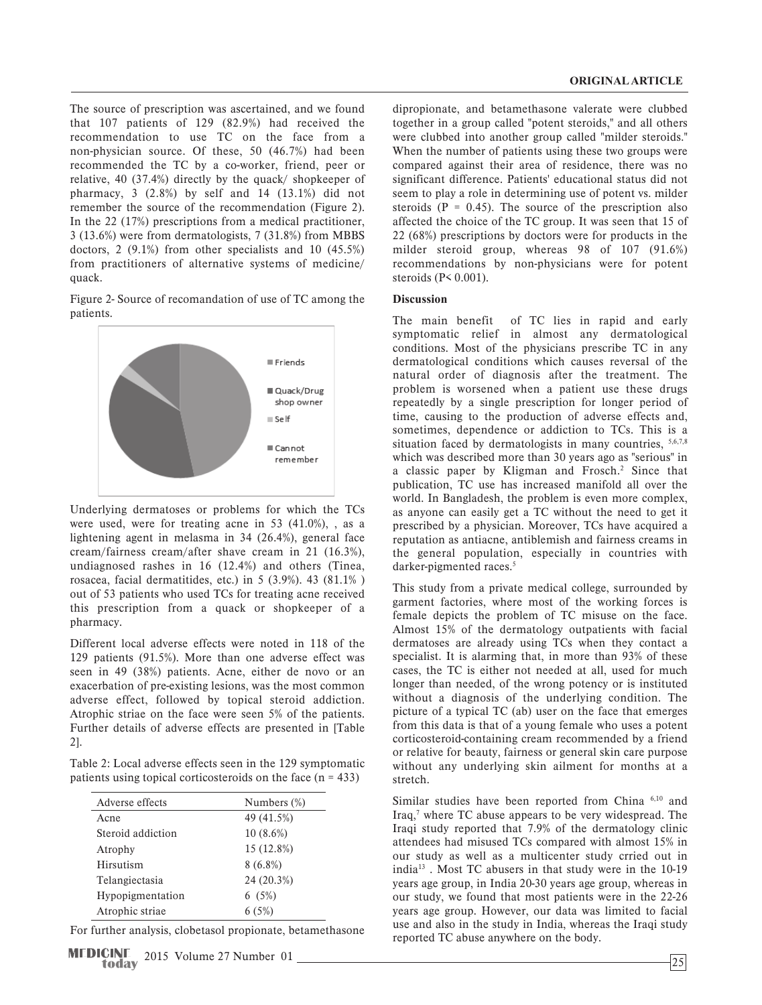The source of prescription was ascertained, and we found that 107 patients of 129 (82.9%) had received the recommendation to use TC on the face from a non-physician source. Of these, 50 (46.7%) had been recommended the TC by a co-worker, friend, peer or relative, 40 (37.4%) directly by the quack/ shopkeeper of pharmacy, 3 (2.8%) by self and 14 (13.1%) did not remember the source of the recommendation (Figure 2). In the 22 (17%) prescriptions from a medical practitioner, 3 (13.6%) were from dermatologists, 7 (31.8%) from MBBS doctors, 2 (9.1%) from other specialists and 10 (45.5%) from practitioners of alternative systems of medicine/ quack.

Figure 2- Source of recomandation of use of TC among the patients.



Underlying dermatoses or problems for which the TCs were used, were for treating acne in 53 (41.0%), , as a lightening agent in melasma in 34 (26.4%), general face cream/fairness cream/after shave cream in 21 (16.3%), undiagnosed rashes in 16 (12.4%) and others (Tinea, rosacea, facial dermatitides, etc.) in 5 (3.9%). 43 (81.1% ) out of 53 patients who used TCs for treating acne received this prescription from a quack or shopkeeper of a pharmacy.

Different local adverse effects were noted in 118 of the 129 patients (91.5%). More than one adverse effect was seen in 49 (38%) patients. Acne, either de novo or an exacerbation of pre-existing lesions, was the most common adverse effect, followed by topical steroid addiction. Atrophic striae on the face were seen 5% of the patients. Further details of adverse effects are presented in [Table 2].

Table 2: Local adverse effects seen in the 129 symptomatic patients using topical corticosteroids on the face  $(n = 433)$ 

| Adverse effects   | Numbers $(\%)$ |
|-------------------|----------------|
| Acne              | 49 (41.5%)     |
| Steroid addiction | $10(8.6\%)$    |
| Atrophy           | 15 (12.8%)     |
| Hirsutism         | $8(6.8\%)$     |
| Telangiectasia    | 24 (20.3%)     |
| Hypopigmentation  | 6(5%)          |
| Atrophic striae   | 6(5%)          |

For further analysis, clobetasol propionate, betamethasone

dipropionate, and betamethasone valerate were clubbed together in a group called "potent steroids," and all others were clubbed into another group called "milder steroids." When the number of patients using these two groups were compared against their area of residence, there was no significant difference. Patients' educational status did not seem to play a role in determining use of potent vs. milder steroids  $(P = 0.45)$ . The source of the prescription also affected the choice of the TC group. It was seen that 15 of 22 (68%) prescriptions by doctors were for products in the milder steroid group, whereas 98 of 107 (91.6%) recommendations by non-physicians were for potent steroids (P< 0.001).

## **Discussion**

The main benefit of TC lies in rapid and early symptomatic relief in almost any dermatological conditions. Most of the physicians prescribe TC in any dermatological conditions which causes reversal of the natural order of diagnosis after the treatment. The problem is worsened when a patient use these drugs repeatedly by a single prescription for longer period of time, causing to the production of adverse effects and, sometimes, dependence or addiction to TCs. This is a situation faced by dermatologists in many countries,  $5,6,7,8$ which was described more than 30 years ago as "serious" in a classic paper by Kligman and Frosch.<sup>2</sup> Since that publication, TC use has increased manifold all over the world. In Bangladesh, the problem is even more complex, as anyone can easily get a TC without the need to get it prescribed by a physician. Moreover, TCs have acquired a reputation as antiacne, antiblemish and fairness creams in the general population, especially in countries with darker-pigmented races.<sup>5</sup>

This study from a private medical college, surrounded by garment factories, where most of the working forces is female depicts the problem of TC misuse on the face. Almost 15% of the dermatology outpatients with facial dermatoses are already using TCs when they contact a specialist. It is alarming that, in more than 93% of these cases, the TC is either not needed at all, used for much longer than needed, of the wrong potency or is instituted without a diagnosis of the underlying condition. The picture of a typical TC (ab) user on the face that emerges from this data is that of a young female who uses a potent corticosteroid-containing cream recommended by a friend or relative for beauty, fairness or general skin care purpose without any underlying skin ailment for months at a stretch.

Similar studies have been reported from China  $6,10$  and Iraq,<sup>7</sup> where TC abuse appears to be very widespread. The Iraqi study reported that 7.9% of the dermatology clinic attendees had misused TCs compared with almost 15% in our study as well as a multicenter study crried out in india13 . Most TC abusers in that study were in the 10-19 years age group, in India 20-30 years age group, whereas in our study, we found that most patients were in the 22-26 years age group. However, our data was limited to facial use and also in the study in India, whereas the Iraqi study reported TC abuse anywhere on the body.